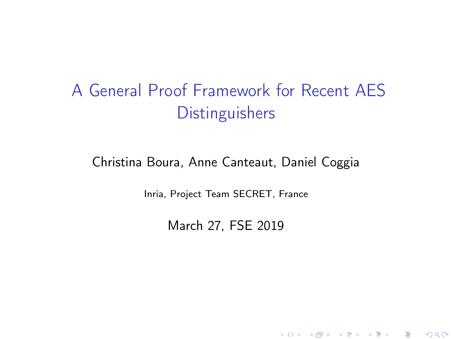# A General Proof Framework for Recent AES **Distinguishers**

#### Christina Boura, Anne Canteaut, Daniel Coggia

Inria, Project Team SECRET, France

March 27, FSE 2019

K ロ ▶ K 레 ▶ K 코 ▶ K 코 ▶ 『코 』 900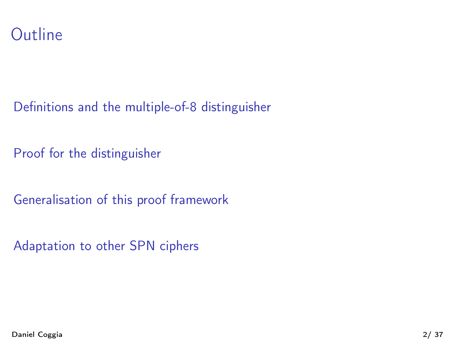

[Proof for the distinguisher](#page-21-0)

[Generalisation of this proof framework](#page-32-0)

[Adaptation to other SPN ciphers](#page-56-0)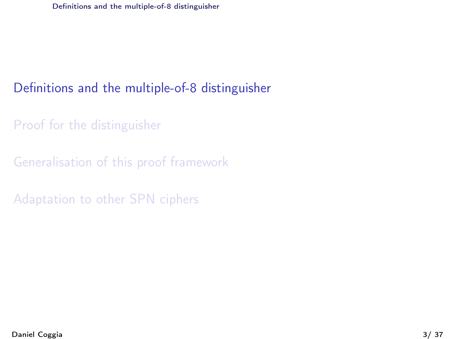<span id="page-2-0"></span>[Proof for the distinguisher](#page-21-0)

[Generalisation of this proof framework](#page-32-0)

[Adaptation to other SPN ciphers](#page-56-0)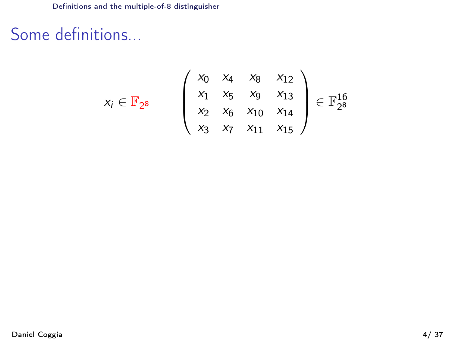$x_i \in$ 

# <span id="page-3-0"></span>Some definitions...

$$
\mathbb{F}_{2^8} \qquad \left(\begin{array}{cccc} x_0 & x_4 & x_8 & x_{12} \\ x_1 & x_5 & x_9 & x_{13} \\ x_2 & x_6 & x_{10} & x_{14} \\ x_3 & x_7 & x_{11} & x_{15} \end{array}\right) \in \mathbb{F}_{2^8}^{16}
$$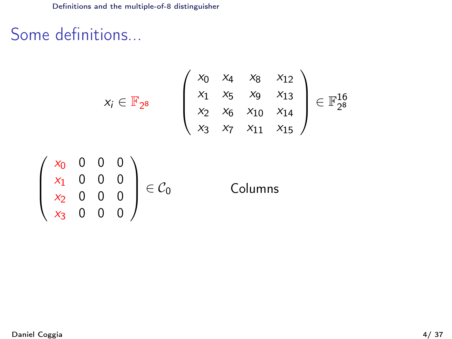# <span id="page-4-0"></span>Some definitions...

$$
x_i \in \mathbb{F}_{2^8} \qquad \begin{pmatrix} x_0 & x_4 & x_8 & x_{12} \\ x_1 & x_5 & x_9 & x_{13} \\ x_2 & x_6 & x_{10} & x_{14} \\ x_3 & x_7 & x_{11} & x_{15} \end{pmatrix} \in \mathbb{F}_{2^8}^{16}
$$

$$
\begin{pmatrix} x_0 & 0 & 0 & 0 \\ x_1 & 0 & 0 & 0 \\ x_2 & 0 & 0 & 0 \\ x_3 & 0 & 0 & 0 \end{pmatrix} \in \mathcal{C}_0
$$
 Columns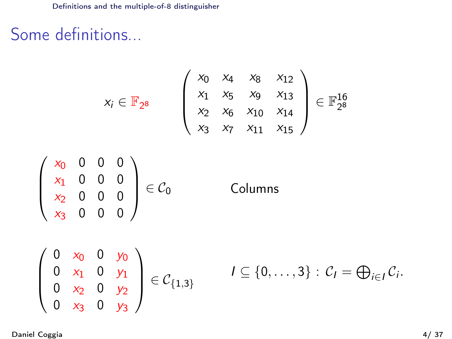# <span id="page-5-0"></span>Some definitions...

$$
x_{i} \in \mathbb{F}_{2^{8}}
$$
\n
$$
\begin{pmatrix}\nx_{0} & x_{4} & x_{8} & x_{12} \\
x_{1} & x_{5} & x_{9} & x_{13} \\
x_{2} & x_{6} & x_{10} & x_{14} \\
x_{3} & x_{7} & x_{11} & x_{15}\n\end{pmatrix} \in \mathbb{F}_{2^{8}}^{16}
$$
\n
$$
\begin{pmatrix}\nx_{0} & 0 & 0 & 0 \\
x_{1} & 0 & 0 & 0 \\
x_{2} & 0 & 0 & 0 \\
x_{3} & 0 & 0 & 0\n\end{pmatrix} \in \mathcal{C}_{0}
$$
\n
$$
\begin{pmatrix}\n0 & x_{0} & 0 & y_{0} \\
0 & x_{1} & 0 & y_{1} \\
0 & x_{2} & 0 & y_{2} \\
0 & x_{3} & 0 & y_{3}\n\end{pmatrix} \in \mathcal{C}_{\{1,3\}}
$$
\n
$$
I \subseteq \{0, \ldots, 3\} : \mathcal{C}_{I} = \bigoplus_{i \in I} \mathcal{C}_{i}.
$$

Daniel Coggia 4/ 37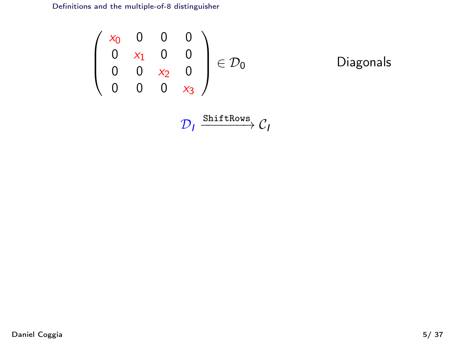<span id="page-6-0"></span>
$$
\begin{pmatrix} x_0 & 0 & 0 & 0 \\ 0 & x_1 & 0 & 0 \\ 0 & 0 & x_2 & 0 \\ 0 & 0 & 0 & x_3 \end{pmatrix} \in \mathcal{D}_0
$$
 Diagonals

$$
\mathcal{D}_I \xrightarrow{\text{ShiftRows}} \mathcal{C}_I
$$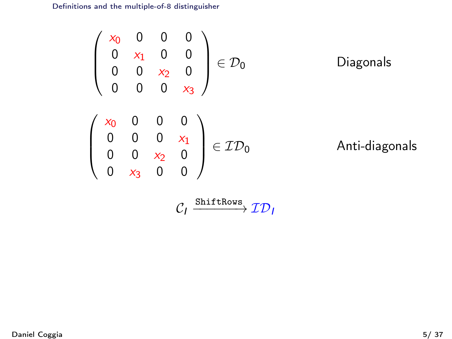<span id="page-7-0"></span>
$$
\begin{pmatrix}\nx_0 & 0 & 0 & 0 \\
0 & x_1 & 0 & 0 \\
0 & 0 & x_2 & 0 \\
0 & 0 & 0 & x_3\n\end{pmatrix} \in \mathcal{D}_0
$$
\nDiagonals\n
$$
\begin{pmatrix}\nx_0 & 0 & 0 & 0 \\
0 & 0 & 0 & x_1 \\
0 & 0 & x_2 & 0 \\
0 & x_3 & 0 & 0\n\end{pmatrix} \in \mathcal{ID}_0
$$
\nAnti-diagonals

$$
\mathcal{C}_I \xrightarrow{\texttt{ShiftRows}} \mathcal{ID}_I
$$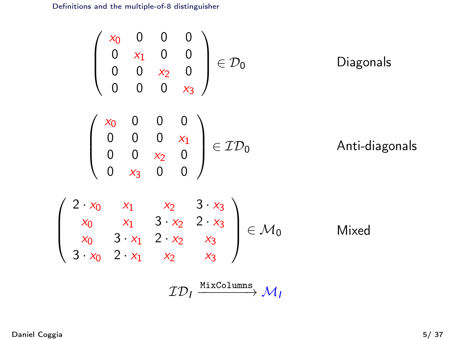<span id="page-8-0"></span>
$$
\begin{pmatrix}\nx_0 & 0 & 0 & 0 \\
0 & x_1 & 0 & 0 \\
0 & 0 & x_2 & 0 \\
0 & 0 & 0 & x_3\n\end{pmatrix} \in \mathcal{D}_0
$$
\nDiagonals\n
$$
\begin{pmatrix}\nx_0 & 0 & 0 & 0 \\
0 & 0 & 0 & x_1 \\
0 & 0 & x_2 & 0 \\
0 & x_3 & 0 & 0\n\end{pmatrix} \in \mathcal{ID}_0
$$
\nAnti-diagonals\n
$$
\begin{pmatrix}\nx_0 & x_1 & x_2 & 3 \cdot x_3 \\
x_0 & x_1 & 3 \cdot x_2 & 2 \cdot x_3 \\
x_0 & 3 \cdot x_1 & 2 \cdot x_2 & x_3 \\
x_0 & 2 \cdot x_1 & x_2 & x_3\n\end{pmatrix} \in \mathcal{M}_0
$$
\nMixed\n
$$
\frac{T\mathcal{D}_1 \xrightarrow{\text{MixColumns}} \mathcal{M}_1}{\mathcal{M}_2}
$$

 $\sqrt{ }$ 

 $\overline{\phantom{a}}$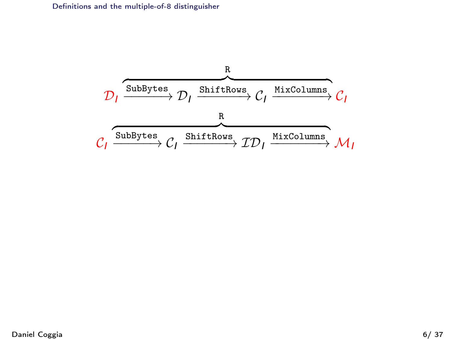<span id="page-9-0"></span>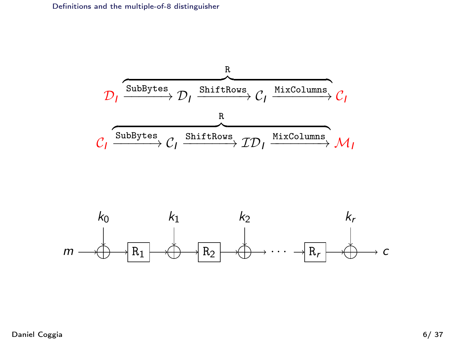<span id="page-10-0"></span>

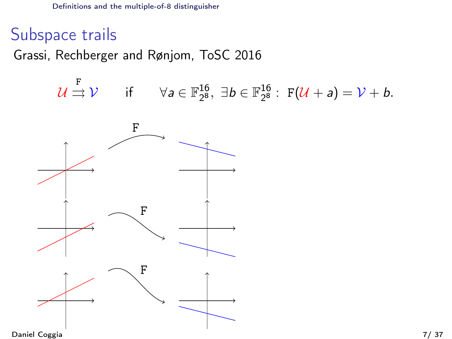# <span id="page-11-0"></span>Subspace trails

Grassi, Rechberger and Rønjom, ToSC 2016

$$
\mathcal{U} \stackrel{\mathbf{F}}{\rightrightarrows} \mathcal{V} \qquad \text{if} \qquad \forall a \in \mathbb{F}_{2^8}^{16}, \ \exists b \in \mathbb{F}_{2^8}^{16} : \ \mathbf{F}(\mathcal{U} + a) = \mathcal{V} + b.
$$

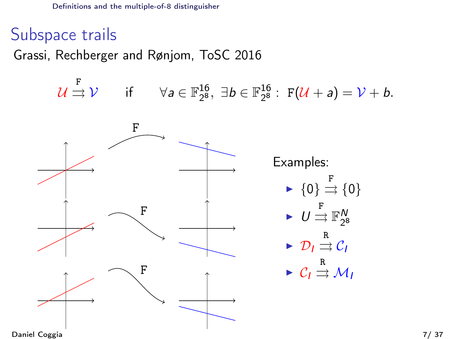# <span id="page-12-0"></span>Subspace trails

Grassi, Rechberger and Rønjom, ToSC 2016

$$
\mathcal{U} \stackrel{\mathbf{F}}{\rightrightarrows} \mathcal{V} \qquad \text{if} \qquad \forall a \in \mathbb{F}_{2^8}^{16}, \ \exists b \in \mathbb{F}_{2^8}^{16} : \ \mathbf{F}(\mathcal{U} + a) = \mathcal{V} + b.
$$

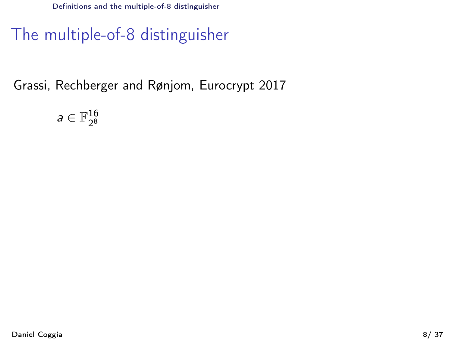# <span id="page-13-0"></span>The multiple-of-8 distinguisher

Grassi, Rechberger and Rønjom, Eurocrypt 2017

 $a \in \mathbb{F}_{2^8}^{16}$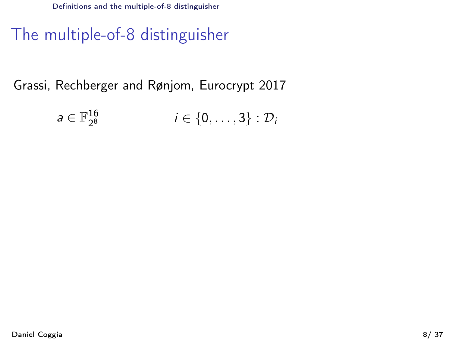# <span id="page-14-0"></span>The multiple-of-8 distinguisher

$$
a\in \mathbb{F}_{2^8}^{16} \qquad \qquad i\in \{0,\ldots,3\}: \mathcal{D}_i
$$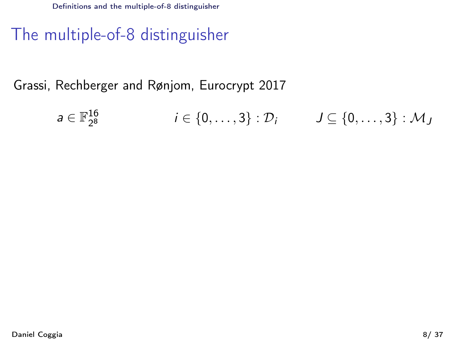# <span id="page-15-0"></span>The multiple-of-8 distinguisher

$$
a \in \mathbb{F}_{2^8}^{16} \qquad \qquad i \in \{0,\ldots,3\} : \mathcal{D}_i \qquad J \subseteq \{0,\ldots,3\} : \mathcal{M}_J
$$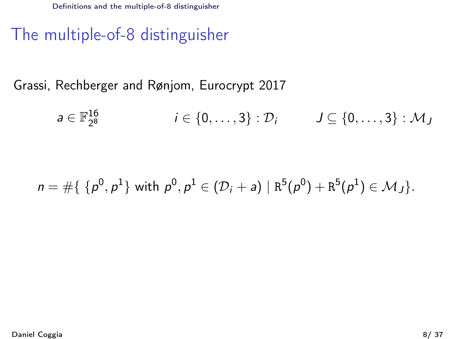# <span id="page-16-0"></span>The multiple-of-8 distinguisher

$$
a\in \mathbb{F}_{2^8}^{16} \qquad \qquad i\in \{0,\ldots,3\} : \mathcal{D}_i \qquad J\subseteq \{0,\ldots,3\} : \mathcal{M}_J
$$

$$
n = #{ {p0, p1} with p0, p1 ∈ (Di + a) | R5(p0) + R5(p1) ∈ MJ }.
$$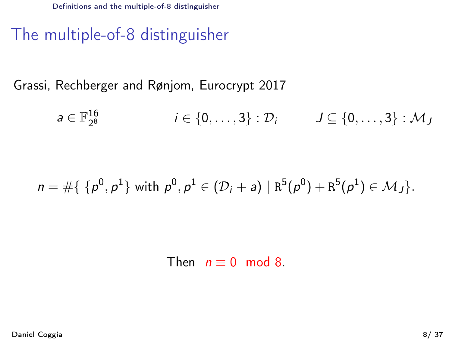# <span id="page-17-0"></span>The multiple-of-8 distinguisher

Grassi, Rechberger and Rønjom, Eurocrypt 2017

$$
a \in \mathbb{F}_{2^8}^{16} \qquad \qquad i \in \{0,\ldots,3\} : \mathcal{D}_i \qquad J \subseteq \{0,\ldots,3\} : \mathcal{M}_J
$$

# $n=\#\{ \,\,\{ \rho^0,\rho^1\} \,\,\mathrm{with}\,\,\rho^0,\rho^1\in (\mathcal{D}_i+{\sf a})\,\,|\,\, \mathtt{R}^5(\rho^0)+\mathtt{R}^5(\rho^1)\in\mathcal{M}_J\}.$

Then  $n = 0 \mod 8$ .

Daniel Coggia 8/ 37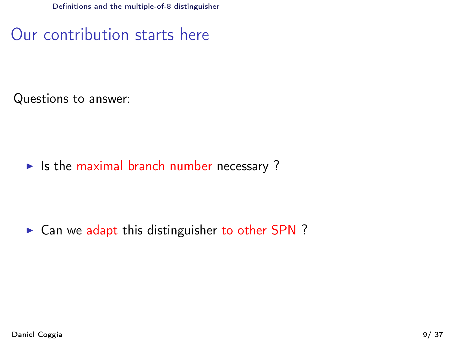<span id="page-18-0"></span>Our contribution starts here

Questions to answer:

 $\blacktriangleright$  Is the maximal branch number necessary ?

 $\triangleright$  Can we adapt this distinguisher to other SPN ?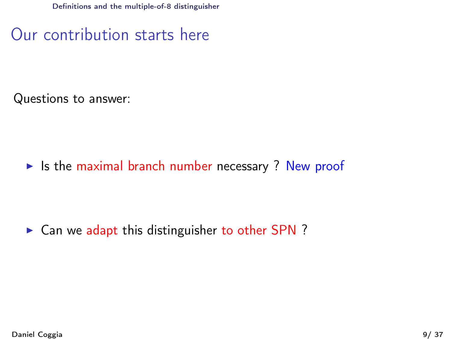<span id="page-19-0"></span>Our contribution starts here

Questions to answer:

 $\triangleright$  Is the maximal branch number necessary ? New proof

 $\triangleright$  Can we adapt this distinguisher to other SPN ?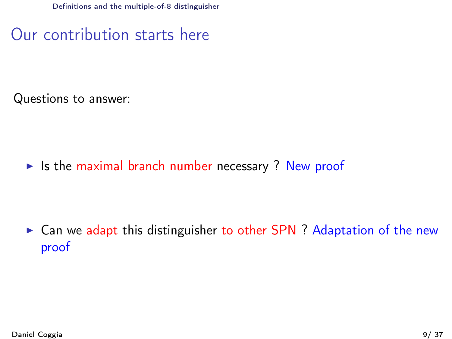<span id="page-20-0"></span>Our contribution starts here

Questions to answer:

 $\triangleright$  Is the maximal branch number necessary ? New proof

 $\triangleright$  Can we adapt this distinguisher to other SPN ? Adaptation of the new proof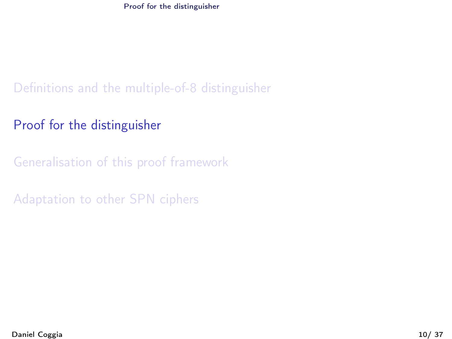[Proof for the distinguisher](#page-21-0)

<span id="page-21-0"></span>[Definitions and the multiple-of-8 distinguisher](#page-2-0)

[Proof for the distinguisher](#page-21-0)

[Generalisation of this proof framework](#page-32-0)

[Adaptation to other SPN ciphers](#page-56-0)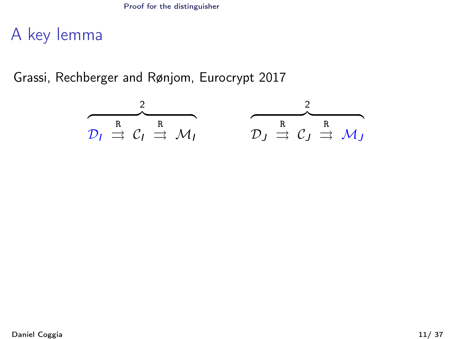<span id="page-22-0"></span>A key lemma

$$
\overbrace{\mathcal{D}_I \overset{R}{\Rightarrow} \mathcal{C}_I \overset{R}{\Rightarrow} \mathcal{M}_I}^2 \qquad \overbrace{\mathcal{D}_J \overset{R}{\Rightarrow} \mathcal{C}_J \overset{R}{\Rightarrow} \mathcal{M}_J}^2
$$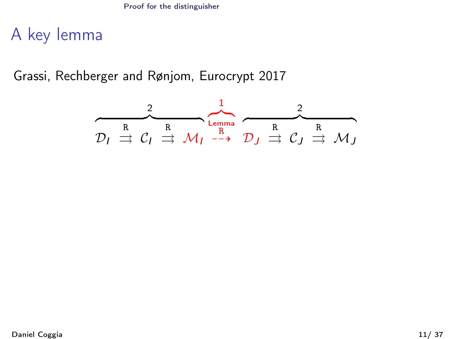<span id="page-23-0"></span>A key lemma

$$
D_I \stackrel{?}{\Rightarrow} C_I \stackrel{R}{\Rightarrow} \mathcal{M}_I \stackrel{Lemma}{\xrightarrow{R}} D_J \stackrel{?}{\Rightarrow} C_J \stackrel{R}{\Rightarrow} \mathcal{M}_J
$$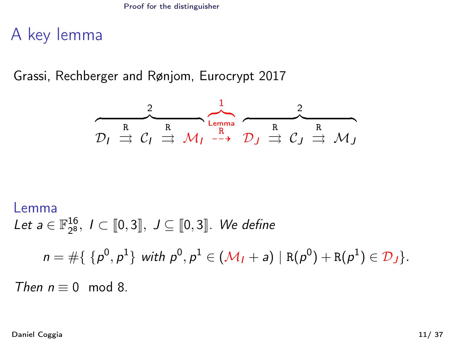<span id="page-24-0"></span>A key lemma

Grassi, Rechberger and Rønjom, Eurocrypt 2017

$$
\overbrace{\mathcal{D}_I \overset{R}{\Rightarrow} \mathcal{C}_I \overset{R}{\Rightarrow} \mathcal{M}_I \overset{Lemma}{\rightarrow} \mathcal{D}_J \overset{R}{\Rightarrow} \mathcal{C}_J \overset{R}{\Rightarrow} \mathcal{M}_J}
$$

# Lemma Let  $a \in \mathbb{F}_{2^8}^{16}$ ,  $I \subset [0,3]$ ,  $J \subseteq [0,3]$ . We define  $n = \# \{ \{p^0, p^1\} \text{ with } p^0, p^1 \in (\mathcal{M}_I + a) \mid R(p^0) + R(p^1) \in \mathcal{D}_J \}.$ Then  $n \equiv 0 \mod 8$ .

Daniel Coggia 11/ 37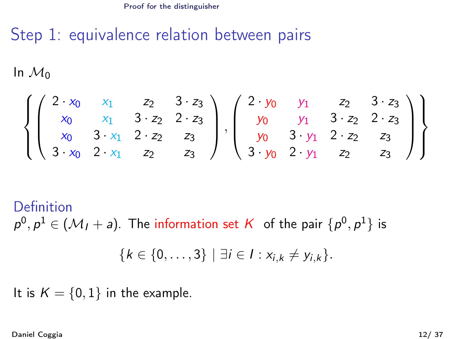# <span id="page-25-0"></span>Step 1: equivalence relation between pairs

In  $\mathcal{M}_0$ 

$$
\left\{\begin{pmatrix}2\cdot x_0&x_1&z_2&3\cdot z_3\\x_0&x_1&3\cdot z_2&2\cdot z_3\\x_0&3\cdot x_1&2\cdot z_2&z_3\\3\cdot x_0&2\cdot x_1&z_2&z_3\end{pmatrix}, \begin{pmatrix}2\cdot y_0&y_1&z_2&3\cdot z_3\\y_0&y_1&3\cdot z_2&2\cdot z_3\\y_0&3\cdot y_1&2\cdot z_2&z_3\\3\cdot y_0&2\cdot y_1&z_2&z_3\end{pmatrix}\right\}
$$

Definition  $\rho^0, \rho^1 \in (\mathcal{M}_I + \mathsf{a}).$  The information set  $\mathcal K$  of the pair  $\{ \rho^0, \rho^1 \}$  is

$$
\{k \in \{0,\ldots,3\} \mid \exists i \in I : x_{i,k} \neq y_{i,k}\}.
$$

It is  $K = \{0, 1\}$  in the example.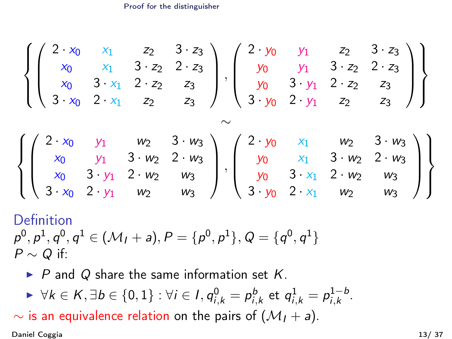[Proof for the distinguisher](#page-26-0)

<span id="page-26-0"></span>
$$
\left\{\begin{pmatrix} 2 \cdot x_0 & x_1 & z_2 & 3 \cdot z_3 \\ x_0 & x_1 & 3 \cdot z_2 & 2 \cdot z_3 \\ x_0 & 3 \cdot x_1 & 2 \cdot z_2 & z_3 \\ 3 \cdot x_0 & 2 \cdot x_1 & z_2 & z_3 \end{pmatrix}, \begin{pmatrix} 2 \cdot y_0 & y_1 & z_2 & 3 \cdot z_3 \\ y_0 & y_1 & 3 \cdot z_2 & 2 \cdot z_3 \\ y_0 & 3 \cdot y_1 & 2 \cdot z_2 & z_3 \\ 3 \cdot y_0 & 2 \cdot y_1 & z_2 & z_3 \end{pmatrix} \right\}
$$

$$
\times \left\{\begin{pmatrix} 2 \cdot x_0 & y_1 & w_2 & 3 \cdot w_3 \\ x_0 & y_1 & 3 \cdot w_2 & 2 \cdot w_3 \\ x_0 & 3 \cdot y_1 & 2 \cdot w_2 & w_3 \\ 3 \cdot x_0 & 2 \cdot y_1 & w_2 & w_3 \end{pmatrix}, \begin{pmatrix} 2 \cdot y_0 & x_1 & w_2 & 3 \cdot w_3 \\ y_0 & x_1 & 3 \cdot w_2 & 2 \cdot w_3 \\ y_0 & 3 \cdot x_1 & 2 \cdot w_2 & w_3 \\ 3 \cdot y_0 & 2 \cdot x_1 & w_2 & w_3 \end{pmatrix} \right\}
$$

### Definition  $\rho^0, \rho^1, q^0, q^1 \in (\mathcal{M}_I + \mathsf{a}), P = \{ \rho^0, \rho^1 \}, Q = \{ q^0, q^1 \}$  $P \sim Q$  if:

- $\triangleright$  P and Q share the same information set K.
- $\blacktriangleright \ \forall k \in K, \exists b \in \{0,1\}: \forall i \in I, q_{i,k}^0 = p_{i,k}^b \ \text{et} \ q_{i,k}^1 = p_{i,k}^{1-b}$  $i,k$ .

 $\sim$  is an equivalence relation on the pairs of  $(\mathcal{M}_1 + a)$ .

Daniel Coggia 13/ 37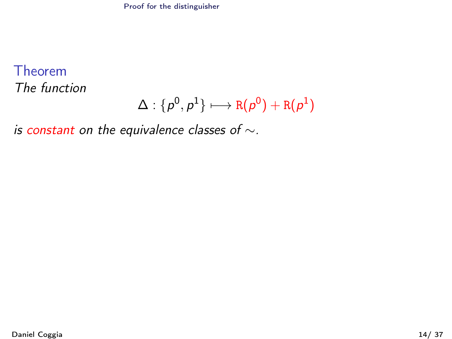# <span id="page-27-0"></span>Theorem

The function

$$
\Delta:\{\rho^0,\rho^1\}\longmapsto\mathtt{R}(\rho^0)+\mathtt{R}(\rho^1)
$$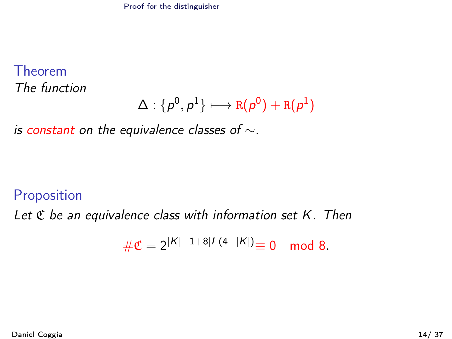## <span id="page-28-0"></span>Theorem

The function

$$
\Delta:\{\rho^0,\rho^1\}\longmapsto \mathtt{R}(\rho^0)+\mathtt{R}(\rho^1)
$$

is constant on the equivalence classes of  $\sim$ .

#### Proposition

Let  $\mathfrak C$  be an equivalence class with information set  $K$ . Then

$$
\#\mathfrak{C} = 2^{|K|-1+8|I|(4-|K|)} \equiv 0 \mod 8.
$$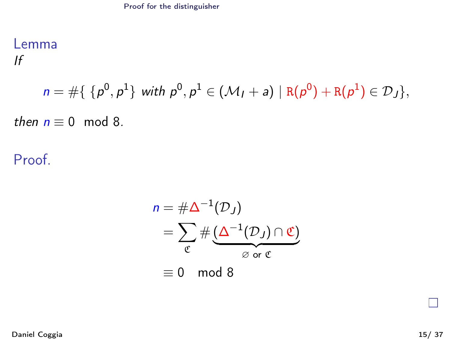## <span id="page-29-0"></span>Lemma

If

$$
n = #\{\ \{p^0, p^1\} \text{ with } p^0, p^1 \in (\mathcal{M}_I + a) \mid R(p^0) + R(p^1) \in \mathcal{D}_J\},
$$

then  $n \equiv 0 \mod 8$ .

Proof.

$$
n = #\Delta^{-1}(\mathcal{D}_J)
$$
  
=  $\sum_{\mathfrak{C}} #(\underline{\Delta^{-1}(\mathcal{D}_J) \cap \mathfrak{C}})$   
\equiv 0 mod 8

П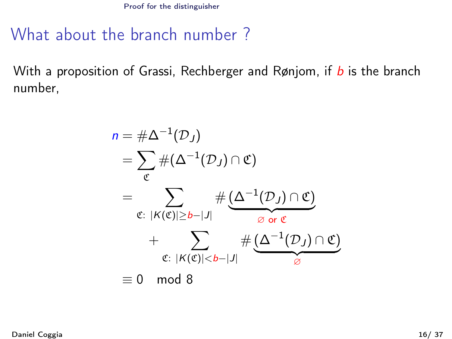[Proof for the distinguisher](#page-30-0)

# <span id="page-30-0"></span>What about the branch number ?

With a proposition of Grassi, Rechberger and Rønjom, if  $b$  is the branch number,

$$
n = #\Delta^{-1}(\mathcal{D}_J)
$$
  
=  $\sum_{\mathfrak{C}} #(\Delta^{-1}(\mathcal{D}_J) \cap \mathfrak{C})$   
=  $\sum_{\mathfrak{C}: |K(\mathfrak{C})| \ge b-|J|} #(\Delta^{-1}(\mathcal{D}_J) \cap \mathfrak{C})$   
+  $\sum_{\mathfrak{C}: |K(\mathfrak{C})| < b-|J|} #(\Delta^{-1}(\mathcal{D}_J) \cap \mathfrak{C})$   
\equiv 0 mod 8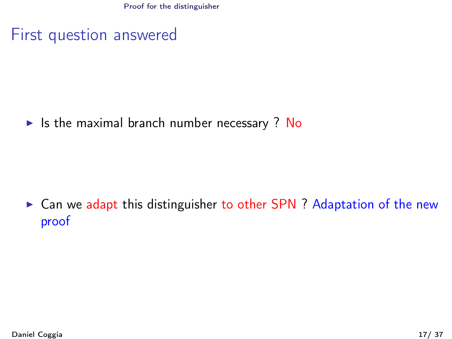[Proof for the distinguisher](#page-31-0)

## <span id="page-31-0"></span>First question answered

 $\triangleright$  Is the maximal branch number necessary ? No

 $\triangleright$  Can we adapt this distinguisher to other SPN ? Adaptation of the new proof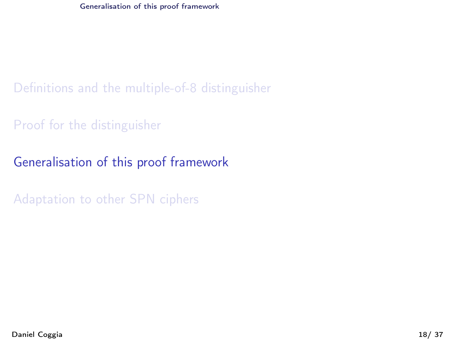<span id="page-32-0"></span>[Definitions and the multiple-of-8 distinguisher](#page-2-0)

[Proof for the distinguisher](#page-21-0)

[Generalisation of this proof framework](#page-32-0)

[Adaptation to other SPN ciphers](#page-56-0)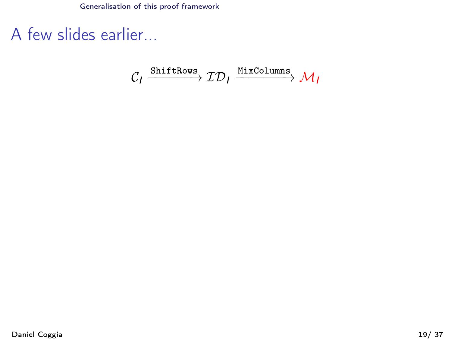<span id="page-33-0"></span>A few slides earlier...

$$
\mathcal{C}_I \xrightarrow{\text{ShiftRows}} \mathcal{ID}_I \xrightarrow{\text{MixColumns}} \mathcal{M}_I
$$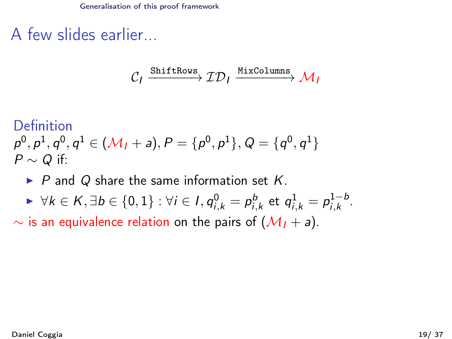<span id="page-34-0"></span>A few slides earlier...

$$
\mathcal{C}_I \xrightarrow{\text{ShiftRows}} \mathcal{ID}_I \xrightarrow{\text{MixColumns}} \mathcal{M}_I
$$

Definition

 $\rho^0, \rho^1, q^0, q^1 \in (\mathcal{M}_I + \mathsf{a}), P = \{ \rho^0, \rho^1 \}, Q = \{ q^0, q^1 \}$  $P \sim Q$  if:

- $\triangleright$  P and Q share the same information set K.
- $\blacktriangleright \ \forall k \in K, \exists b \in \{0,1\}: \forall i \in I, q_{i,k}^0 = p_{i,k}^b \ \text{et} \ q_{i,k}^1 = p_{i,k}^{1-b}$  $i,k$ .

 $\sim$  is an equivalence relation on the pairs of  $(M_1 + a)$ .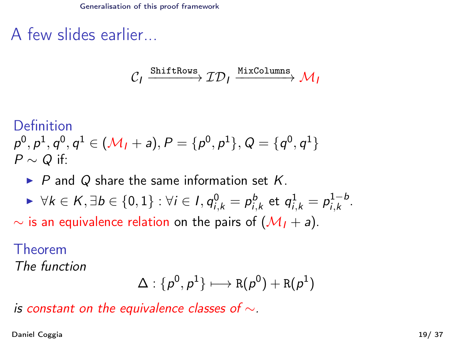<span id="page-35-0"></span>A few slides earlier...

$$
\mathcal{C}_1 \xrightarrow{\text{ShiftRows}} \mathcal{ID}_1 \xrightarrow{\text{MixColumns}} \mathcal{M}_1
$$

#### Definition

$$
p^0, p^1, q^0, q^1 \in (\mathcal{M}_1 + a), P = \{p^0, p^1\}, Q = \{q^0, q^1\}
$$
  
 $P \sim Q$  if:

 $\triangleright$  P and Q share the same information set K.

$$
\blacktriangleright \forall k \in K, \exists b \in \{0,1\} : \forall i \in I, q_{i,k}^0 = p_{i,k}^b \text{ et } q_{i,k}^1 = p_{i,k}^{1-b}.
$$

 $\sim$  is an equivalence relation on the pairs of  $(\mathcal{M}_1 + a)$ .

### Theorem

The function

$$
\Delta:\{\rho^0,\rho^1\}\longmapsto R(\rho^0)+R(\rho^1)
$$

is constant on the equivalence classes of  $\sim$ .

Daniel Coggia 19/ 37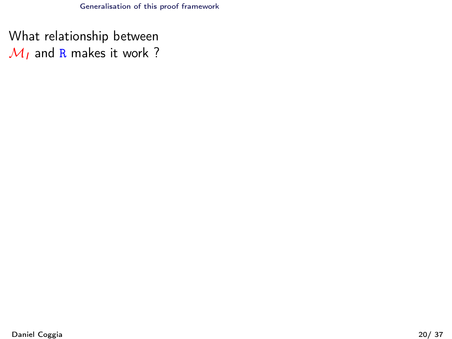<span id="page-36-0"></span>What relationship between  $M<sub>I</sub>$  and R makes it work ?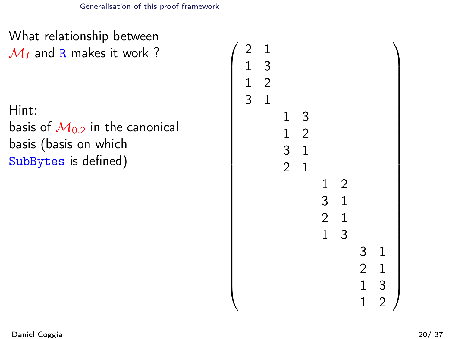$\sqrt{ }$ 

<span id="page-37-0"></span>What relationship between  $M<sub>I</sub>$  and R makes it work ?

Hint:

basis of  $M<sub>0.2</sub>$  in the canonical basis (basis on which SubBytes is defined)

```
2 1
1 3
1 2
3 1
     1 3
     1 2
     3 1
     2 1
           1 2
           3 1
           2 1
           1 3
                 3 1
                 2 1
                 1 3
                 1 2
                       \setminus
```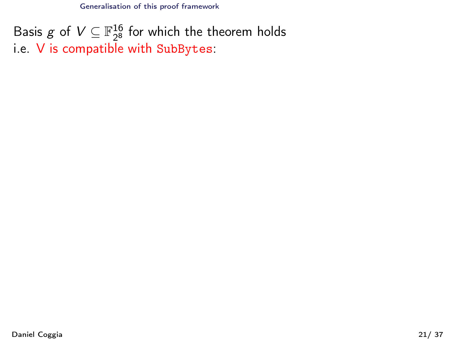<span id="page-38-0"></span>Basis g of  $V \subseteq \mathbb{F}_{2^8}^{16}$  for which the theorem holds i.e. V is compatible with SubBytes: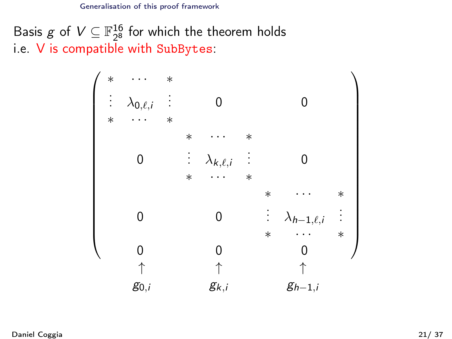<span id="page-39-0"></span>Basis g of  $V \subseteq \mathbb{F}_{28}^{16}$  for which the theorem holds  $^{16}_{2^8}$  for which the theorem holds i.e. V is compatible with SubBytes:

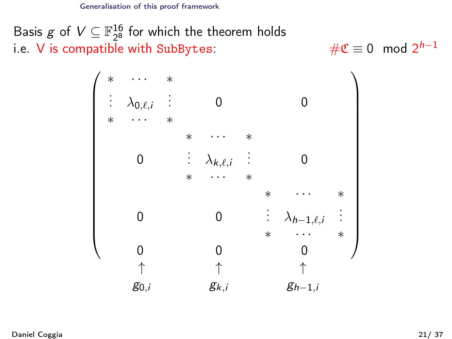<span id="page-40-0"></span>Basis g of  $V \subseteq \mathbb{F}_{2^8}^{16}$  for which the theorem holds i.e.  $V$  is compatible with SubBytes:

# $\mathfrak{C} \equiv 0 \mod 2^{h-1}$ 

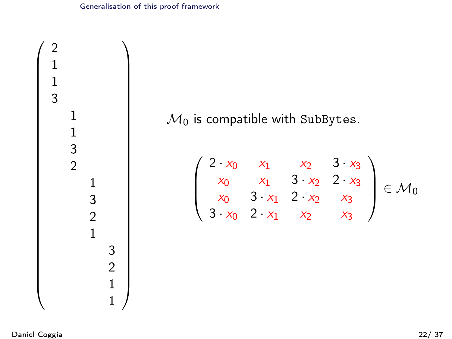<span id="page-41-0"></span>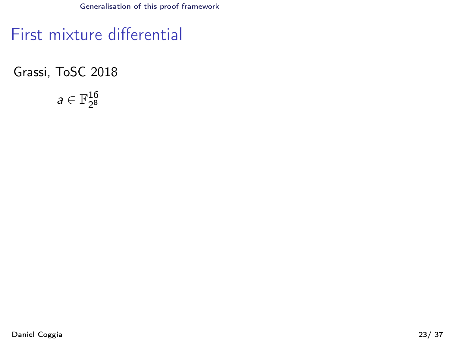<span id="page-42-0"></span>First mixture differential

Grassi, ToSC 2018

 $a \in \mathbb{F}_{2^8}^{16}$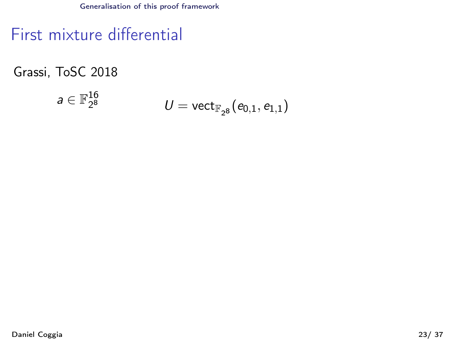<span id="page-43-0"></span>First mixture differential

Grassi, ToSC 2018

$$
a\in\mathbb{F}_{2^8}^{16}\qquad \qquad U=\mathrm{vect}_{\mathbb{F}_{2^8}}(e_{0,1},e_{1,1})
$$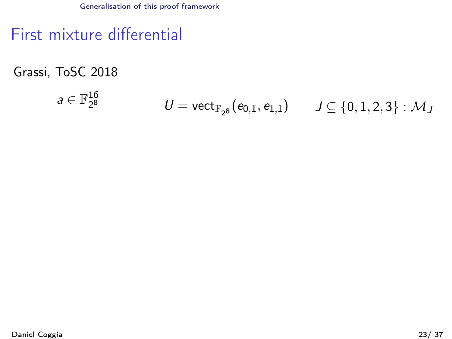# <span id="page-44-0"></span>First mixture differential

Grassi, ToSC 2018

$$
a\in\mathbb{F}_{2^8}^{16} \qquad \qquad U=\mathsf{vect}_{\mathbb{F}_{2^8}}(e_{0,1},e_{1,1}) \qquad J\subseteq\{0,1,2,3\}:\mathcal{M}_J
$$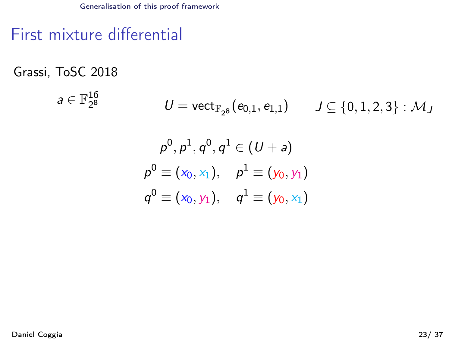# <span id="page-45-0"></span>First mixture differential

Grassi, ToSC 2018

$$
\begin{array}{lll} \mathsf{a}\in \mathbb{F}_{2^8}^{16} \qquad & U=\mathsf{vect}_{\mathbb{F}_{2^8}}(\mathsf{e}_{0,1},\mathsf{e}_{1,1}) \qquad J\subseteq \{0,1,2,3\} : \mathcal{M}_J \\ & & \\ \mathsf{p}^0,\mathsf{p}^1,\mathsf{q}^0,\mathsf{q}^1\in (U+\mathsf{a}) \\ & & \\ \mathsf{p}^0\equiv (\mathsf{x}_0,\mathsf{x}_1), \quad \mathsf{p}^1\equiv (\mathsf{y}_0,\mathsf{y}_1) \\ & & \\ \mathsf{q}^0\equiv (\mathsf{x}_0,\mathsf{y}_1), \quad \mathsf{q}^1\equiv (\mathsf{y}_0,\mathsf{x}_1) \end{array}
$$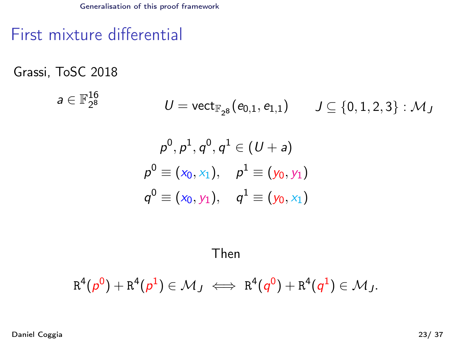# <span id="page-46-0"></span>First mixture differential

Grassi, ToSC 2018

$$
\begin{array}{lll} \mathsf{a}\in\mathbb{F}_{2^8}^{16} & \qquad U=\mathsf{vect}_{\mathbb{F}_{2^8}}(\mathsf{e}_{0,1},\mathsf{e}_{1,1}) & \qquad J\subseteq\{0,1,2,3\}:\mathcal{M}_J \\ & & \\ \mathsf{p}^0,\mathsf{p}^1,\mathsf{q}^0,\mathsf{q}^1\in(U+\mathsf{a}) \\ & & \\ \mathsf{p}^0\equiv(\mathsf{x}_0,\mathsf{x}_1),\quad \mathsf{p}^1\equiv(\mathsf{y}_0,\mathsf{y}_1) \\ & & \\ \mathsf{q}^0\equiv(\mathsf{x}_0,\mathsf{y}_1),\quad \mathsf{q}^1\equiv(\mathsf{y}_0,\mathsf{x}_1) \end{array}
$$

Then

$$
R^4(\rho^0)+R^4(\rho^1)\in\mathcal{M}_J\iff R^4(q^0)+R^4(q^1)\in\mathcal{M}_J.
$$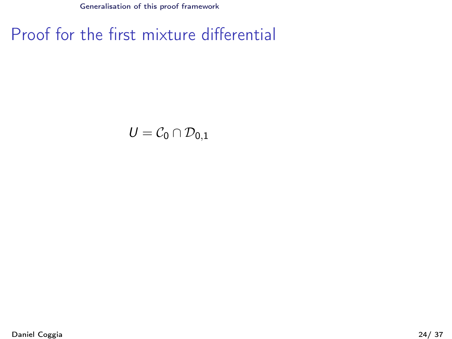# <span id="page-47-0"></span>Proof for the first mixture differential

$$
\mathcal{U}=\mathcal{C}_0\cap\mathcal{D}_{0,1}
$$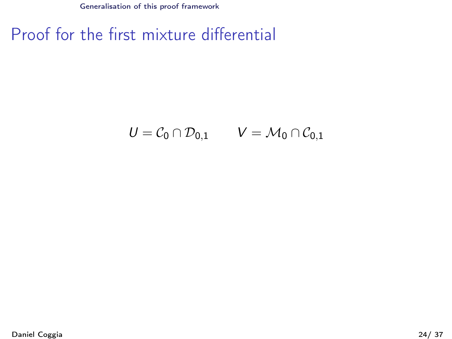# <span id="page-48-0"></span>Proof for the first mixture differential

$$
U = \mathcal{C}_0 \cap \mathcal{D}_{0,1} \qquad V = \mathcal{M}_0 \cap \mathcal{C}_{0,1}
$$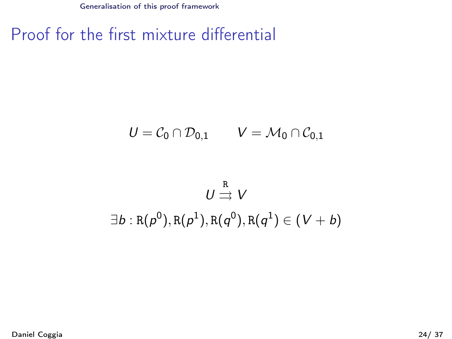# <span id="page-49-0"></span>Proof for the first mixture differential

$$
U=\mathcal{C}_0\cap\mathcal{D}_{0,1}\qquad V=\mathcal{M}_0\cap\mathcal{C}_{0,1}
$$

$$
U \stackrel{\text{R}}{\rightrightarrows} V
$$
  

$$
\exists b : \text{R}(p^0), \text{R}(p^1), \text{R}(q^0), \text{R}(q^1) \in (V + b)
$$

Daniel Coggia 24/ 37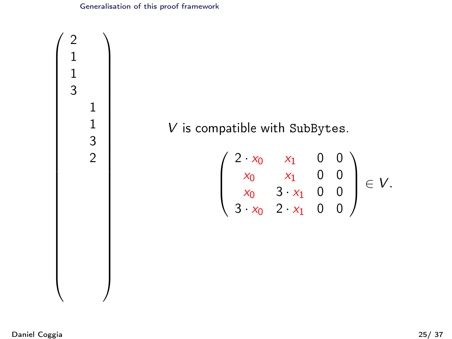<span id="page-50-0"></span>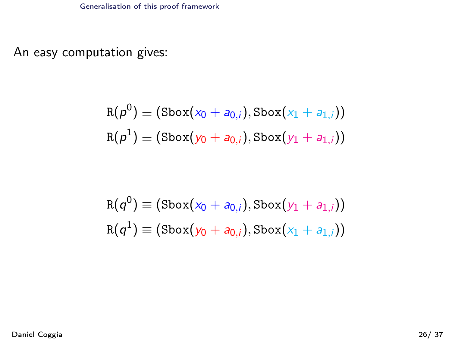<span id="page-51-0"></span>An easy computation gives:

$$
R(\rho^0) \equiv (\text{Sbox}(x_0 + a_{0,i}), \text{Sbox}(x_1 + a_{1,i}))
$$
  

$$
R(\rho^1) \equiv (\text{Sbox}(y_0 + a_{0,i}), \text{Sbox}(y_1 + a_{1,i}))
$$

$$
R(q^0) \equiv (\text{Sbox}(x_0 + a_{0,i}), \text{Sbox}(y_1 + a_{1,i}))
$$
  

$$
R(q^1) \equiv (\text{Sbox}(y_0 + a_{0,i}), \text{Sbox}(x_1 + a_{1,i}))
$$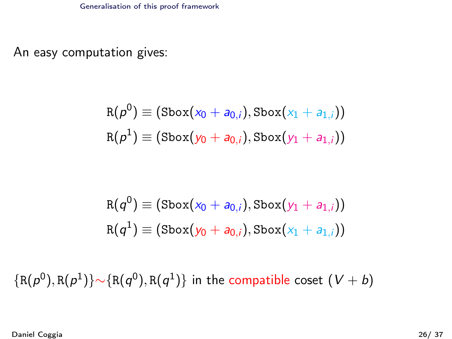<span id="page-52-0"></span>An easy computation gives:

$$
R(\rho^0) \equiv (\text{Sbox}(x_0 + a_{0,i}), \text{Sbox}(x_1 + a_{1,i}))
$$
  

$$
R(\rho^1) \equiv (\text{Sbox}(y_0 + a_{0,i}), \text{Sbox}(y_1 + a_{1,i}))
$$

$$
R(q^0) \equiv (\text{Sbox}(x_0 + a_{0,i}), \text{Sbox}(y_1 + a_{1,i}))
$$
  

$$
R(q^1) \equiv (\text{Sbox}(y_0 + a_{0,i}), \text{Sbox}(x_1 + a_{1,i}))
$$

 $\{ {\tt R}(\rho^0), {\tt R}(\rho^1) \} \sim$  $\{ {\tt R}(q^0), {\tt R}(q^1) \}$  in the compatible coset  $(V+b)$ 

Daniel Coggia 26/ 37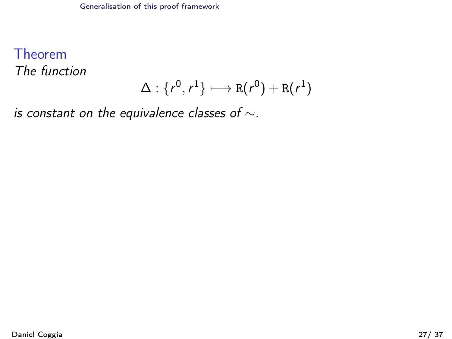<span id="page-53-0"></span>Theorem The function

$$
\Delta: \{r^0, r^1\} \longmapsto R(r^0) + R(r^1)
$$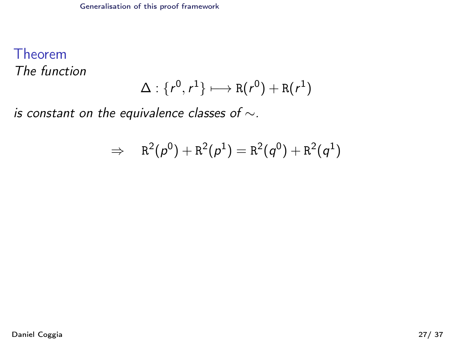### <span id="page-54-0"></span>Theorem The function

$$
\Delta: \{r^0, r^1\} \longmapsto R(r^0) + R(r^1)
$$

$$
\Rightarrow\quad \mathtt{R}^2(\rho^0)+\mathtt{R}^2(\rho^1)=\mathtt{R}^2(\mathit{q}^0)+\mathtt{R}^2(\mathit{q}^1)
$$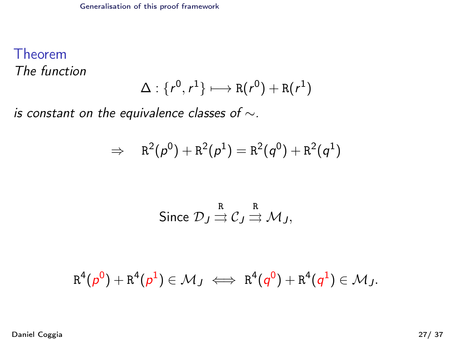### <span id="page-55-0"></span>Theorem The function

$$
\Delta: \{r^0, r^1\} \longmapsto R(r^0) + R(r^1)
$$

$$
\Rightarrow\quad \mathtt{R}^2(\rho^0)+\mathtt{R}^2(\rho^1)=\mathtt{R}^2(\mathit{q}^0)+\mathtt{R}^2(\mathit{q}^1)
$$

Since 
$$
\mathcal{D}_J \stackrel{\text{R}}{\rightrightarrows} \mathcal{C}_J \stackrel{\text{R}}{\rightrightarrows} \mathcal{M}_J
$$
,

$$
R^4(p^0) + R^4(p^1) \in \mathcal{M}_J \iff R^4(q^0) + R^4(q^1) \in \mathcal{M}_J.
$$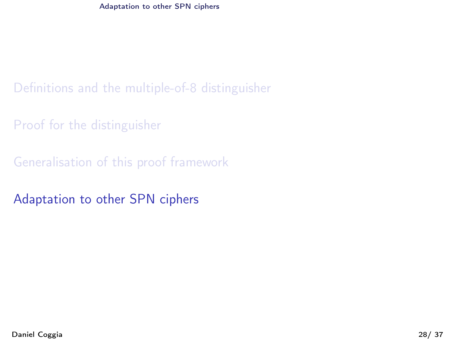<span id="page-56-0"></span>[Proof for the distinguisher](#page-21-0)

[Generalisation of this proof framework](#page-32-0)

[Adaptation to other SPN ciphers](#page-56-0)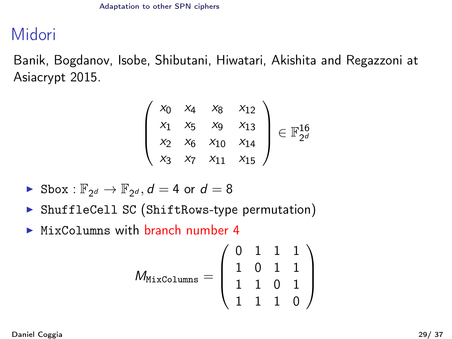# <span id="page-57-0"></span>Midori

Banik, Bogdanov, Isobe, Shibutani, Hiwatari, Akishita and Regazzoni at Asiacrypt 2015.

$$
\begin{pmatrix} x_0 & x_4 & x_8 & x_{12} \\ x_1 & x_5 & x_9 & x_{13} \\ x_2 & x_6 & x_{10} & x_{14} \\ x_3 & x_7 & x_{11} & x_{15} \end{pmatrix} \in \mathbb{F}_{2^d}^{16}
$$

► Sbox : 
$$
\mathbb{F}_{2^d}
$$
 →  $\mathbb{F}_{2^d}$ ,  $d = 4$  or  $d = 8$ 

- ▶ ShuffleCell SC (ShiftRows-type permutation)
- $\triangleright$  MixColumns with branch number 4

$$
\mathcal{M}_{\texttt{MixColumns}} = \left( \begin{array}{ccc} 0 & 1 & 1 & 1 \\ 1 & 0 & 1 & 1 \\ 1 & 1 & 0 & 1 \\ 1 & 1 & 1 & 0 \end{array} \right)
$$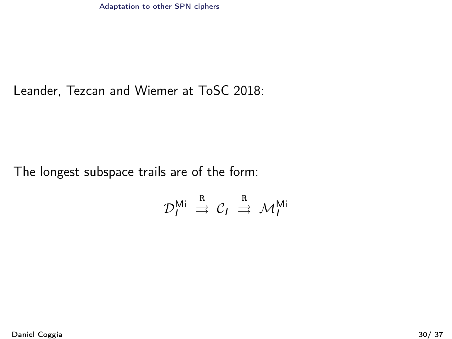#### <span id="page-58-0"></span>Leander, Tezcan and Wiemer at ToSC 2018:

#### The longest subspace trails are of the form:

$$
\mathcal{D}_I^{\mathsf{Mi}} \stackrel{\text{R}}{\Rightarrow} \mathcal{C}_I \stackrel{\text{R}}{\Rightarrow} \mathcal{M}_I^{\mathsf{Mi}}
$$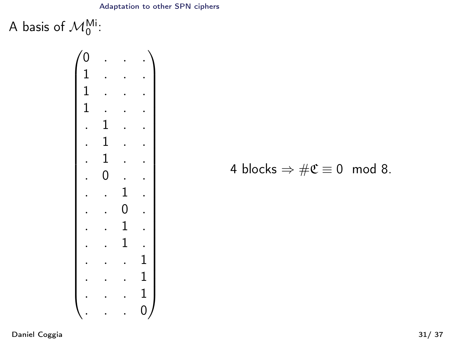#### [Adaptation to other SPN ciphers](#page-59-0)

<span id="page-59-0"></span>A basis of  $\mathcal{M}_0^{\textsf{Mi}}$ :



4 blocks  $\Rightarrow$   $\#\mathfrak{C} \equiv 0 \mod 8$ .

Daniel Coggia 31/ 37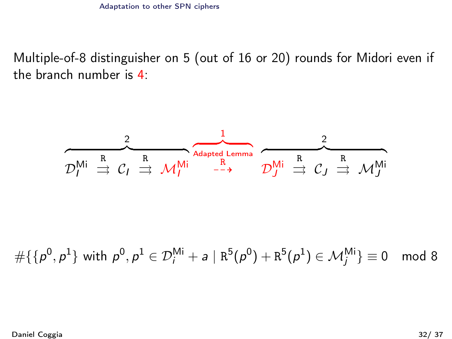<span id="page-60-0"></span>Multiple-of-8 distinguisher on 5 (out of 16 or 20) rounds for Midori even if the branch number is 4:

$$
\overbrace{{\cal D}^{\text{Mi}}_I \stackrel{R}{\ \rightrightarrows \ \cal C_I \stackrel{R}{\ \rightrightarrows \ \cal M_I^{\text{Mi}}} }^{\text{2}} \overbrace{{\cal M}^{\text{Adapted Lemma}}_I \ \overbrace{{\cal D}^{\text{Mi}}_J \stackrel{R}{\ \rightrightarrows \ \cal C_J \stackrel{R}{\ \rightrightarrows \ \cal M_J^{\text{Mi}}}}^{\text{2}}
$$

 $\#\{\{p^0,p^1\} \text{ with } p^0,p^1 \in {\mathcal D}^{\mathsf{Mi}}_i + a \mid {\mathtt{R}}^5(p^0) + {\mathtt{R}}^5(p^1) \in {\mathcal M}_j^{\mathsf{Mi}}\} \equiv 0 \mod 8$ 

Daniel Coggia 32/ 37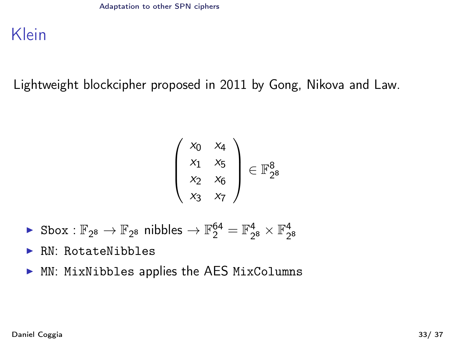<span id="page-61-0"></span>Klein

Lightweight blockcipher proposed in 2011 by Gong, Nikova and Law.

$$
\left(\begin{array}{ccc} x_0 & x_4 \\ x_1 & x_5 \\ x_2 & x_6 \\ x_3 & x_7 \end{array}\right) \in \mathbb{F}_{2^8}^8
$$

- $\blacktriangleright$  Sbox :  $\mathbb{F}_{2^8}\to\mathbb{F}_{2^8}$  nibbles  $\to\mathbb{F}_2^{64}=\mathbb{F}_{2^8}^4\times\mathbb{F}_{2^8}^4$
- $\blacktriangleright$  RN: RotateNibbles
- $\triangleright$  MN: MixNibbles applies the AES MixColumns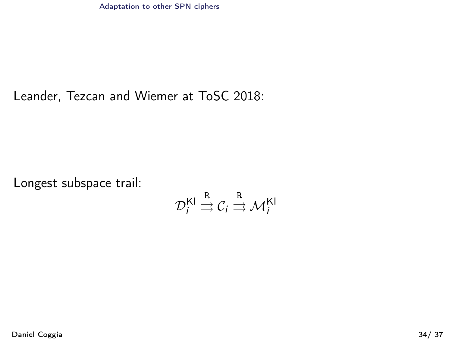<span id="page-62-0"></span>[Adaptation to other SPN ciphers](#page-62-0)

#### Leander, Tezcan and Wiemer at ToSC 2018:

Longest subspace trail:

$$
\mathcal{D}_i^{\mathsf{Kl}} \stackrel{\mathsf{R}}{\rightrightarrows} \mathcal{C}_i \stackrel{\mathsf{R}}{\rightrightarrows} \mathcal{M}_i^{\mathsf{Kl}}
$$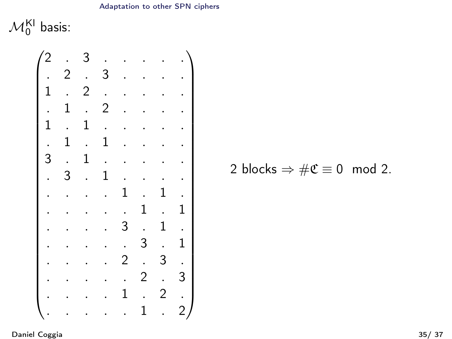#### [Adaptation to other SPN ciphers](#page-63-0)

<span id="page-63-0"></span> $\mathcal{M}^{\mathsf{KI}}_0$  basis:



$$
2 \text{ blocks} \Rightarrow \#\mathfrak{C} \equiv 0 \mod 2.
$$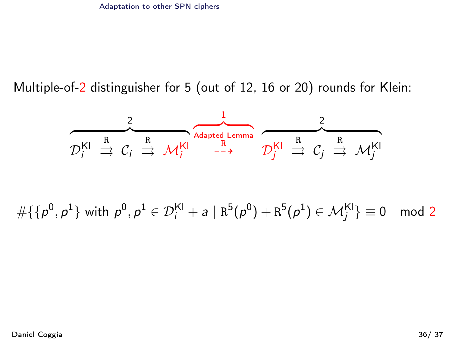<span id="page-64-0"></span>Multiple-of-2 distinguisher for 5 (out of 12, 16 or 20) rounds for Klein:

$$
D_i^{KI} \stackrel{R}{\Rightarrow} C_i \stackrel{R}{\Rightarrow} \mathcal{M}_i^{KI} \stackrel{R}{\stackrel{R}{\dashrightarrow}} \mathcal{D}_j^{KI} \stackrel{R}{\Rightarrow} C_j \stackrel{R}{\Rightarrow} \mathcal{M}_j^{KI}
$$

 $\#\{\{p^0,p^1\} \text{ with } p^0,p^1 \in {\mathcal D}_i^{\textsf{KI}} + \textsf{a} \mid \textsf{R}^5(p^0)+\textsf{R}^5(p^1) \in {\mathcal M}_j^{\textsf{KI}}\} \equiv 0 \mod 2$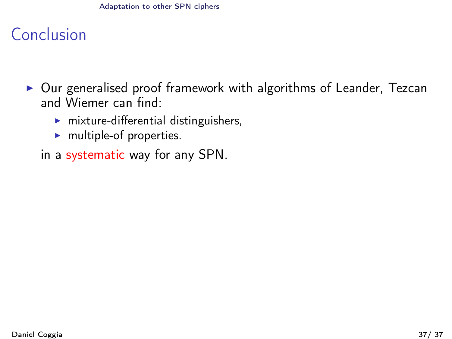#### [Adaptation to other SPN ciphers](#page-65-0)

# <span id="page-65-0"></span>Conclusion

- $\triangleright$  Our generalised proof framework with algorithms of Leander, Tezcan and Wiemer can find:
	- $\triangleright$  mixture-differential distinguishers,
	- $\blacktriangleright$  multiple-of properties.
	- in a systematic way for any SPN.